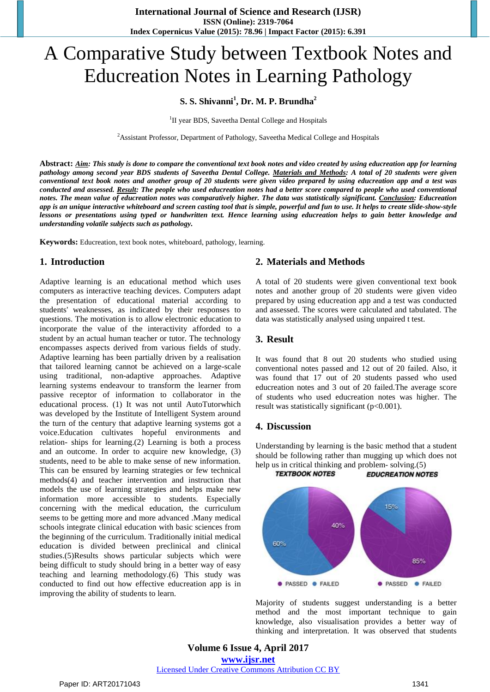# A Comparative Study between Textbook Notes and Educreation Notes in Learning Pathology

# **S. S. Shivanni<sup>1</sup> , Dr. M. P. Brundha<sup>2</sup>**

<sup>1</sup>II year BDS, Saveetha Dental College and Hospitals

<sup>2</sup> Assistant Professor, Department of Pathology, Saveetha Medical College and Hospitals

Abstract: Aim: This study is done to compare the conventional text book notes and video created by using educreation app for learning pathology among second year BDS students of Saveetha Dental College. Materials and Methods: A total of 20 students were given conventional text book notes and another group of 20 students were given video prepared by using educreation app and a test was conducted and assessed. Result: The people who used educreation notes had a better score compared to people who used conventional notes. The mean value of educreation notes was comparatively higher. The data was statistically significant. Conclusion: Educreation app is an unique interactive whiteboard and screen casting tool that is simple, powerful and fun to use. It helps to create slide-show-style lessons or presentations using typed or handwritten text. Hence learning using educreation helps to gain better knowledge and *understanding volatile subjects such as pathology.*

**Keywords:** Educreation, text book notes, whiteboard, pathology, learning.

# **1. Introduction**

Adaptive learning is an educational method which uses computers as interactive teaching devices. Computers adapt the presentation of educational material according to students' weaknesses, as indicated by their responses to questions. The motivation is to allow electronic education to incorporate the value of the interactivity afforded to a student by an actual human teacher or tutor. The technology encompasses aspects derived from various fields of study. Adaptive learning has been partially driven by a realisation that tailored learning cannot be achieved on a large-scale using traditional, non-adaptive approaches. Adaptive learning systems endeavour to transform the learner from passive receptor of information to collaborator in the educational process. (1) It was not until AutoTutorwhich was developed by the Institute of Intelligent System around the turn of the century that adaptive learning systems got a voice.Education cultivates hopeful environments and relation- ships for learning.(2) Learning is both a process and an outcome. In order to acquire new knowledge, (3) students, need to be able to make sense of new information. This can be ensured by learning strategies or few technical methods(4) and teacher intervention and instruction that models the use of learning strategies and helps make new information more accessible to students. Especially concerning with the medical education, the curriculum seems to be getting more and more advanced .Many medical schools integrate clinical education with basic sciences from the beginning of the curriculum. Traditionally initial medical education is divided between preclinical and clinical studies.(5)Results shows particular subjects which were being difficult to study should bring in a better way of easy teaching and learning methodology.(6) This study was conducted to find out how effective educreation app is in improving the ability of students to learn.

#### **2. Materials and Methods**

A total of 20 students were given conventional text book notes and another group of 20 students were given video prepared by using educreation app and a test was conducted and assessed. The scores were calculated and tabulated. The data was statistically analysed using unpaired t test.

#### **3. Result**

It was found that 8 out 20 students who studied using conventional notes passed and 12 out of 20 failed. Also, it was found that 17 out of 20 students passed who used educreation notes and 3 out of 20 failed.The average score of students who used educreation notes was higher. The result was statistically significant (p<0.001).

# **4. Discussion**

Understanding by learning is the basic method that a student should be following rather than mugging up which does not help us in critical thinking and problem- solving.(5) **TEXTBOOK NOTES** 

**EDUCREATION NOTES** 

15% 40% 60% 85% ● PASSED ● FAILED ● PASSED ● FAILED

Majority of students suggest understanding is a better method and the most important technique to gain knowledge, also visualisation provides a better way of thinking and interpretation. It was observed that students